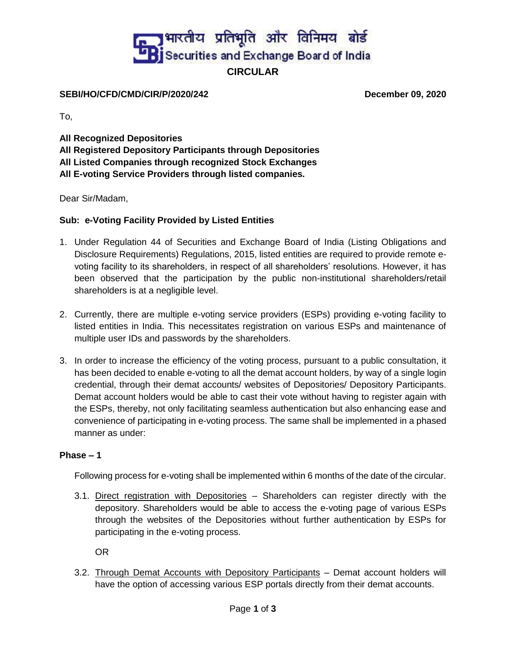# **B** भारतीय प्रतिभूति और विनिमय बोर्ड<br>प्रेडिड ecurities and Exchange Board of India **CIRCULAR**

#### **SEBI/HO/CFD/CMD/CIR/P/2020/242 December 09, 2020**

To,

**All Recognized Depositories All Registered Depository Participants through Depositories All Listed Companies through recognized Stock Exchanges All E-voting Service Providers through listed companies.**

Dear Sir/Madam,

### **Sub: e-Voting Facility Provided by Listed Entities**

- 1. Under Regulation 44 of Securities and Exchange Board of India (Listing Obligations and Disclosure Requirements) Regulations, 2015, listed entities are required to provide remote evoting facility to its shareholders, in respect of all shareholders' resolutions. However, it has been observed that the participation by the public non-institutional shareholders/retail shareholders is at a negligible level.
- 2. Currently, there are multiple e-voting service providers (ESPs) providing e-voting facility to listed entities in India. This necessitates registration on various ESPs and maintenance of multiple user IDs and passwords by the shareholders.
- 3. In order to increase the efficiency of the voting process, pursuant to a public consultation, it has been decided to enable e-voting to all the demat account holders, by way of a single login credential, through their demat accounts/ websites of Depositories/ Depository Participants. Demat account holders would be able to cast their vote without having to register again with the ESPs, thereby, not only facilitating seamless authentication but also enhancing ease and convenience of participating in e-voting process. The same shall be implemented in a phased manner as under:

### **Phase – 1**

Following process for e-voting shall be implemented within 6 months of the date of the circular.

3.1. Direct registration with Depositories – Shareholders can register directly with the depository. Shareholders would be able to access the e-voting page of various ESPs through the websites of the Depositories without further authentication by ESPs for participating in the e-voting process.

OR

3.2. Through Demat Accounts with Depository Participants – Demat account holders will have the option of accessing various ESP portals directly from their demat accounts.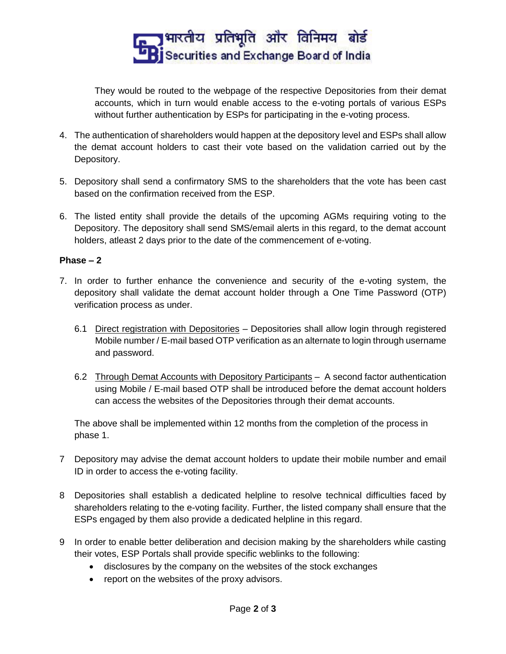

They would be routed to the webpage of the respective Depositories from their demat accounts, which in turn would enable access to the e-voting portals of various ESPs without further authentication by ESPs for participating in the e-voting process.

- 4. The authentication of shareholders would happen at the depository level and ESPs shall allow the demat account holders to cast their vote based on the validation carried out by the Depository.
- 5. Depository shall send a confirmatory SMS to the shareholders that the vote has been cast based on the confirmation received from the ESP.
- 6. The listed entity shall provide the details of the upcoming AGMs requiring voting to the Depository. The depository shall send SMS/email alerts in this regard, to the demat account holders, atleast 2 days prior to the date of the commencement of e-voting.

### **Phase – 2**

- 7. In order to further enhance the convenience and security of the e-voting system, the depository shall validate the demat account holder through a One Time Password (OTP) verification process as under.
	- 6.1 Direct registration with Depositories Depositories shall allow login through registered Mobile number / E-mail based OTP verification as an alternate to login through username and password.
	- 6.2 Through Demat Accounts with Depository Participants A second factor authentication using Mobile / E-mail based OTP shall be introduced before the demat account holders can access the websites of the Depositories through their demat accounts.

The above shall be implemented within 12 months from the completion of the process in phase 1.

- 7 Depository may advise the demat account holders to update their mobile number and email ID in order to access the e-voting facility.
- 8 Depositories shall establish a dedicated helpline to resolve technical difficulties faced by shareholders relating to the e-voting facility. Further, the listed company shall ensure that the ESPs engaged by them also provide a dedicated helpline in this regard.
- 9 In order to enable better deliberation and decision making by the shareholders while casting their votes, ESP Portals shall provide specific weblinks to the following:
	- disclosures by the company on the websites of the stock exchanges
	- report on the websites of the proxy advisors.